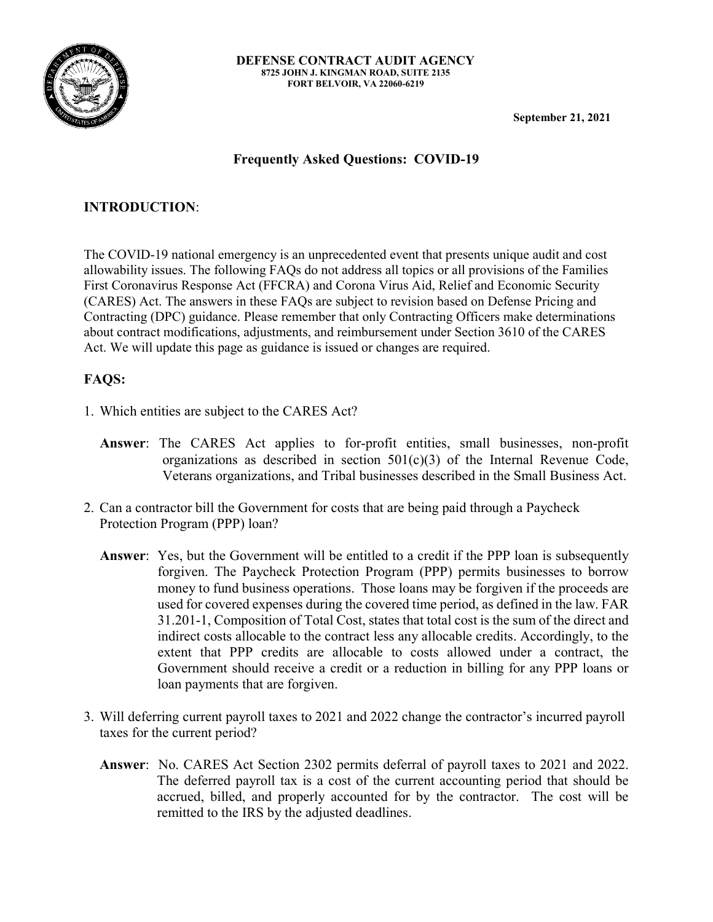

**September 21, 2021** 

## **Frequently Asked Questions: COVID-19**

## **INTRODUCTION**:

The COVID-19 national emergency is an unprecedented event that presents unique audit and cost allowability issues. The following FAQs do not address all topics or all provisions of the Families First Coronavirus Response Act (FFCRA) and Corona Virus Aid, Relief and Economic Security (CARES) Act. The answers in these FAQs are subject to revision based on Defense Pricing and Contracting (DPC) guidance. Please remember that only Contracting Officers make determinations about contract modifications, adjustments, and reimbursement under Section 3610 of the CARES Act. We will update this page as guidance is issued or changes are required.

## **FAQS:**

- 1. Which entities are subject to the CARES Act?
	- **Answer**: The CARES Act applies to for-profit entities, small businesses, non-profit organizations as described in section  $501(c)(3)$  of the Internal Revenue Code, Veterans organizations, and Tribal businesses described in the Small Business Act.
- 2. Can a contractor bill the Government for costs that are being paid through a Paycheck Protection Program (PPP) loan?
	- **Answer**: Yes, but the Government will be entitled to a credit if the PPP loan is subsequently forgiven. The Paycheck Protection Program (PPP) permits businesses to borrow money to fund business operations. Those loans may be forgiven if the proceeds are used for covered expenses during the covered time period, as defined in the law. FAR 31.201-1, Composition of Total Cost, states that total cost is the sum of the direct and indirect costs allocable to the contract less any allocable credits. Accordingly, to the extent that PPP credits are allocable to costs allowed under a contract, the Government should receive a credit or a reduction in billing for any PPP loans or loan payments that are forgiven.
- 3. Will deferring current payroll taxes to 2021 and 2022 change the contractor's incurred payroll taxes for the current period?
	- **Answer**: No. CARES Act Section 2302 permits deferral of payroll taxes to 2021 and 2022. The deferred payroll tax is a cost of the current accounting period that should be accrued, billed, and properly accounted for by the contractor. The cost will be remitted to the IRS by the adjusted deadlines.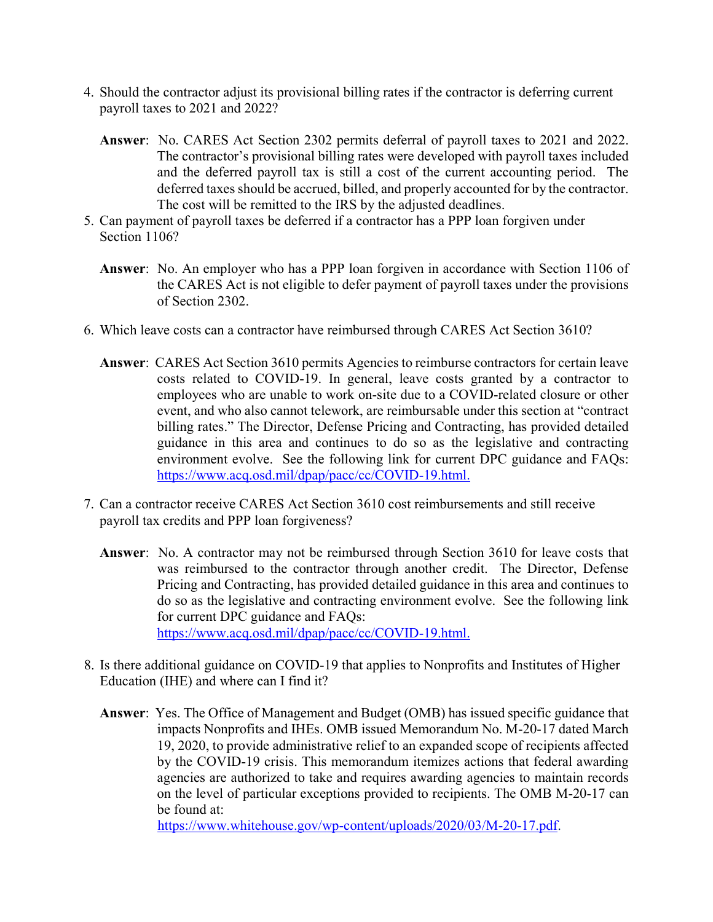- 4. Should the contractor adjust its provisional billing rates if the contractor is deferring current payroll taxes to 2021 and 2022?
	- **Answer**: No. CARES Act Section 2302 permits deferral of payroll taxes to 2021 and 2022. The contractor's provisional billing rates were developed with payroll taxes included and the deferred payroll tax is still a cost of the current accounting period. The deferred taxes should be accrued, billed, and properly accounted for by the contractor. The cost will be remitted to the IRS by the adjusted deadlines.
- 5. Can payment of payroll taxes be deferred if a contractor has a PPP loan forgiven under Section 1106?
	- **Answer**: No. An employer who has a PPP loan forgiven in accordance with Section 1106 of the CARES Act is not eligible to defer payment of payroll taxes under the provisions of Section 2302.
- 6. Which leave costs can a contractor have reimbursed through CARES Act Section 3610?
	- **Answer**: CARES Act Section 3610 permits Agencies to reimburse contractors for certain leave costs related to COVID-19. In general, leave costs granted by a contractor to employees who are unable to work on-site due to a COVID-related closure or other event, and who also cannot telework, are reimbursable under this section at "contract billing rates." The Director, Defense Pricing and Contracting, has provided detailed guidance in this area and continues to do so as the legislative and contracting environment evolve. See the following link for current DPC guidance and FAQs: [https://www.acq.osd.mil/dpap/pacc/cc/COVID-19.html.](https://www.acq.osd.mil/dpap/pacc/cc/COVID-19.html)
- 7. Can a contractor receive CARES Act Section 3610 cost reimbursements and still receive payroll tax credits and PPP loan forgiveness?
	- **Answer**: No. A contractor may not be reimbursed through Section 3610 for leave costs that was reimbursed to the contractor through another credit. The Director, Defense Pricing and Contracting, has provided detailed guidance in this area and continues to do so as the legislative and contracting environment evolve. See the following link for current DPC guidance and FAQs: [https://www.acq.osd.mil/dpap/pacc/cc/COVID-19.html.](https://www.acq.osd.mil/dpap/pacc/cc/COVID-19.html)
- 8. Is there additional guidance on COVID-19 that applies to Nonprofits and Institutes of Higher Education (IHE) and where can I find it?
	- **Answer**: Yes. The Office of Management and Budget (OMB) has issued specific guidance that impacts Nonprofits and IHEs. OMB issued Memorandum No. M-20-17 dated March 19, 2020, to provide administrative relief to an expanded scope of recipients affected by the COVID-19 crisis. This memorandum itemizes actions that federal awarding agencies are authorized to take and requires awarding agencies to maintain records on the level of particular exceptions provided to recipients. The OMB M-20-17 can be found at:

[https://www.whitehouse.gov/wp-content/uploads/2020/03/M-20-17.pdf.](https://www.whitehouse.gov/wp-content/uploads/2020/03/M-20-17.pdf)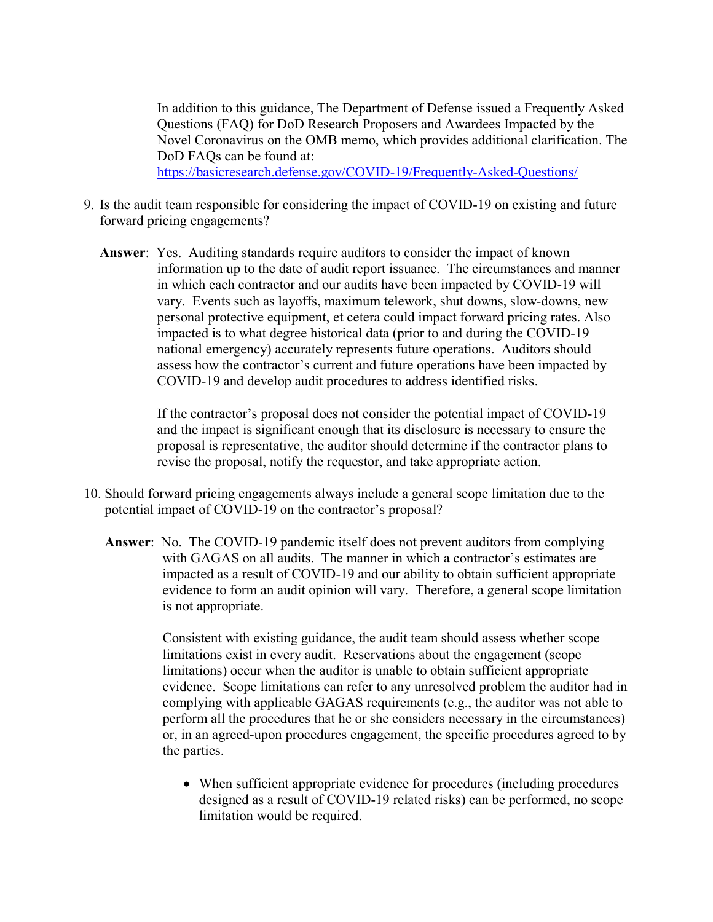In addition to this guidance, The Department of Defense issued a Frequently Asked Questions (FAQ) for DoD Research Proposers and Awardees Impacted by the Novel Coronavirus on the OMB memo, which provides additional clarification. The DoD FAOs can be found at: <https://basicresearch.defense.gov/COVID-19/Frequently-Asked-Questions/>

- 9. Is the audit team responsible for considering the impact of COVID-19 on existing and future forward pricing engagements?
	- **Answer**: Yes. Auditing standards require auditors to consider the impact of known information up to the date of audit report issuance. The circumstances and manner in which each contractor and our audits have been impacted by COVID-19 will vary. Events such as layoffs, maximum telework, shut downs, slow-downs, new personal protective equipment, et cetera could impact forward pricing rates. Also impacted is to what degree historical data (prior to and during the COVID-19 national emergency) accurately represents future operations. Auditors should assess how the contractor's current and future operations have been impacted by COVID-19 and develop audit procedures to address identified risks.

If the contractor's proposal does not consider the potential impact of COVID-19 and the impact is significant enough that its disclosure is necessary to ensure the proposal is representative, the auditor should determine if the contractor plans to revise the proposal, notify the requestor, and take appropriate action.

- 10. Should forward pricing engagements always include a general scope limitation due to the potential impact of COVID-19 on the contractor's proposal?
	- **Answer**: No. The COVID-19 pandemic itself does not prevent auditors from complying with GAGAS on all audits. The manner in which a contractor's estimates are impacted as a result of COVID-19 and our ability to obtain sufficient appropriate evidence to form an audit opinion will vary. Therefore, a general scope limitation is not appropriate.

Consistent with existing guidance, the audit team should assess whether scope limitations exist in every audit. Reservations about the engagement (scope limitations) occur when the auditor is unable to obtain sufficient appropriate evidence. Scope limitations can refer to any unresolved problem the auditor had in complying with applicable GAGAS requirements (e.g., the auditor was not able to perform all the procedures that he or she considers necessary in the circumstances) or, in an agreed-upon procedures engagement, the specific procedures agreed to by the parties.

• When sufficient appropriate evidence for procedures (including procedures designed as a result of COVID-19 related risks) can be performed, no scope limitation would be required.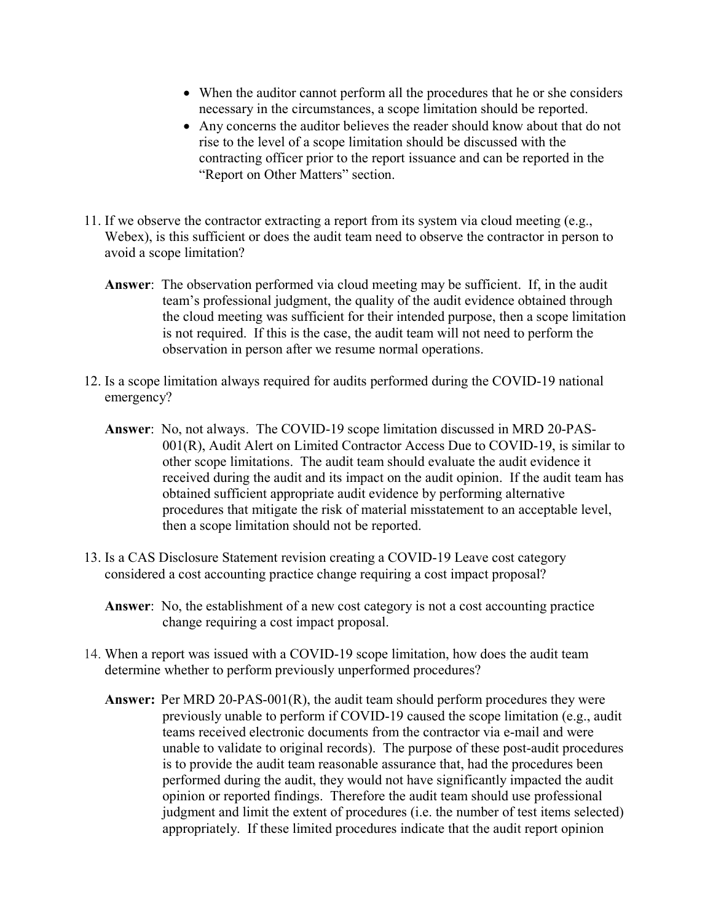- When the auditor cannot perform all the procedures that he or she considers necessary in the circumstances, a scope limitation should be reported.
- Any concerns the auditor believes the reader should know about that do not rise to the level of a scope limitation should be discussed with the contracting officer prior to the report issuance and can be reported in the "Report on Other Matters" section.
- 11. If we observe the contractor extracting a report from its system via cloud meeting (e.g., Webex), is this sufficient or does the audit team need to observe the contractor in person to avoid a scope limitation?
	- **Answer**: The observation performed via cloud meeting may be sufficient. If, in the audit team's professional judgment, the quality of the audit evidence obtained through the cloud meeting was sufficient for their intended purpose, then a scope limitation is not required. If this is the case, the audit team will not need to perform the observation in person after we resume normal operations.
- 12. Is a scope limitation always required for audits performed during the COVID-19 national emergency?
	- **Answer**: No, not always. The COVID-19 scope limitation discussed in MRD 20-PAS-001(R), Audit Alert on Limited Contractor Access Due to COVID-19, is similar to other scope limitations. The audit team should evaluate the audit evidence it received during the audit and its impact on the audit opinion. If the audit team has obtained sufficient appropriate audit evidence by performing alternative procedures that mitigate the risk of material misstatement to an acceptable level, then a scope limitation should not be reported.
- 13. Is a CAS Disclosure Statement revision creating a COVID-19 Leave cost category considered a cost accounting practice change requiring a cost impact proposal?
	- **Answer**: No, the establishment of a new cost category is not a cost accounting practice change requiring a cost impact proposal.
- 14. When a report was issued with a COVID-19 scope limitation, how does the audit team determine whether to perform previously unperformed procedures?
	- **Answer:** Per MRD 20-PAS-001(R), the audit team should perform procedures they were previously unable to perform if COVID-19 caused the scope limitation (e.g., audit teams received electronic documents from the contractor via e-mail and were unable to validate to original records). The purpose of these post-audit procedures is to provide the audit team reasonable assurance that, had the procedures been performed during the audit, they would not have significantly impacted the audit opinion or reported findings. Therefore the audit team should use professional judgment and limit the extent of procedures (i.e. the number of test items selected) appropriately. If these limited procedures indicate that the audit report opinion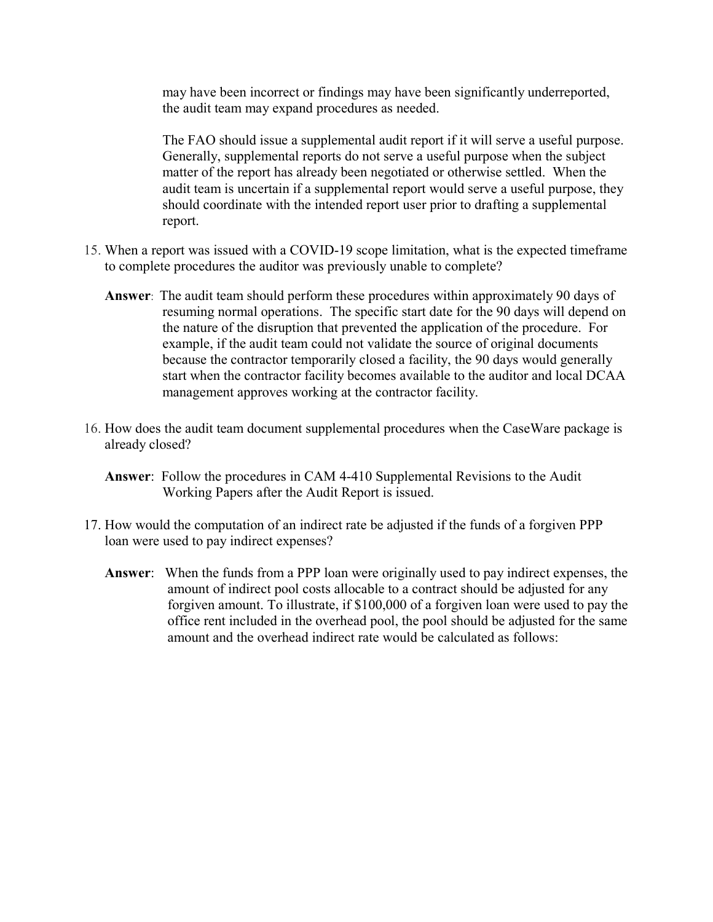may have been incorrect or findings may have been significantly underreported, the audit team may expand procedures as needed.

The FAO should issue a supplemental audit report if it will serve a useful purpose. Generally, supplemental reports do not serve a useful purpose when the subject matter of the report has already been negotiated or otherwise settled. When the audit team is uncertain if a supplemental report would serve a useful purpose, they should coordinate with the intended report user prior to drafting a supplemental report.

- 15. When a report was issued with a COVID-19 scope limitation, what is the expected timeframe to complete procedures the auditor was previously unable to complete?
	- **Answer**: The audit team should perform these procedures within approximately 90 days of resuming normal operations. The specific start date for the 90 days will depend on the nature of the disruption that prevented the application of the procedure. For example, if the audit team could not validate the source of original documents because the contractor temporarily closed a facility, the 90 days would generally start when the contractor facility becomes available to the auditor and local DCAA management approves working at the contractor facility.
- 16. How does the audit team document supplemental procedures when the CaseWare package is already closed?
	- **Answer**: Follow the procedures in CAM 4-410 Supplemental Revisions to the Audit Working Papers after the Audit Report is issued.
- 17. How would the computation of an indirect rate be adjusted if the funds of a forgiven PPP loan were used to pay indirect expenses?
	- **Answer**: When the funds from a PPP loan were originally used to pay indirect expenses, the amount of indirect pool costs allocable to a contract should be adjusted for any forgiven amount. To illustrate, if \$100,000 of a forgiven loan were used to pay the office rent included in the overhead pool, the pool should be adjusted for the same amount and the overhead indirect rate would be calculated as follows: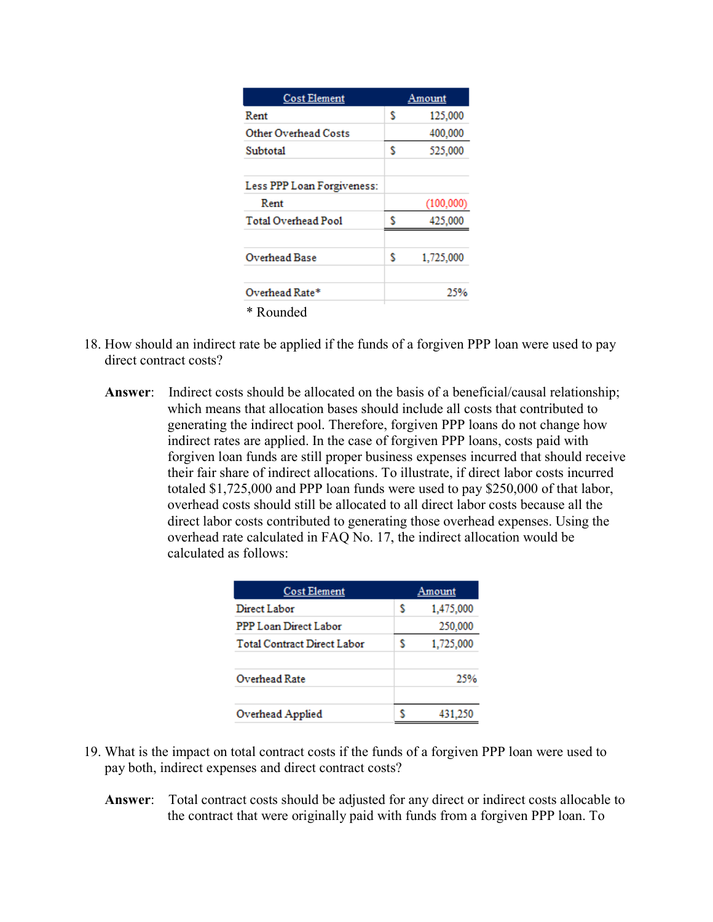| <b>Cost Element</b>        |   | Amount    |
|----------------------------|---|-----------|
| Rent                       | s | 125,000   |
| Other Overhead Costs       |   | 400,000   |
| Subtotal                   | s | 525,000   |
| Less PPP Loan Forgiveness: |   |           |
| Rent                       |   | (100,000) |
| <b>Total Overhead Pool</b> | s | 425,000   |
| Overhead Base              | s | 1,725,000 |
| Overhead Rate*             |   | 25%       |
| * Rounded                  |   |           |

- 18. How should an indirect rate be applied if the funds of a forgiven PPP loan were used to pay direct contract costs?
	- **Answer**: Indirect costs should be allocated on the basis of a beneficial/causal relationship; which means that allocation bases should include all costs that contributed to generating the indirect pool. Therefore, forgiven PPP loans do not change how indirect rates are applied. In the case of forgiven PPP loans, costs paid with forgiven loan funds are still proper business expenses incurred that should receive their fair share of indirect allocations. To illustrate, if direct labor costs incurred totaled \$1,725,000 and PPP loan funds were used to pay \$250,000 of that labor, overhead costs should still be allocated to all direct labor costs because all the direct labor costs contributed to generating those overhead expenses. Using the overhead rate calculated in FAQ No. 17, the indirect allocation would be calculated as follows:

| <b>Cost Element</b>                |   | Amount    |
|------------------------------------|---|-----------|
| Direct Labor                       | s | 1,475,000 |
| PPP Loan Direct Labor              |   | 250,000   |
| <b>Total Contract Direct Labor</b> | S | 1,725,000 |
| Overhead Rate                      |   | 25%       |
| Overhead Applied                   |   | 431.250   |

- 19. What is the impact on total contract costs if the funds of a forgiven PPP loan were used to pay both, indirect expenses and direct contract costs?
	- **Answer**: Total contract costs should be adjusted for any direct or indirect costs allocable to the contract that were originally paid with funds from a forgiven PPP loan. To